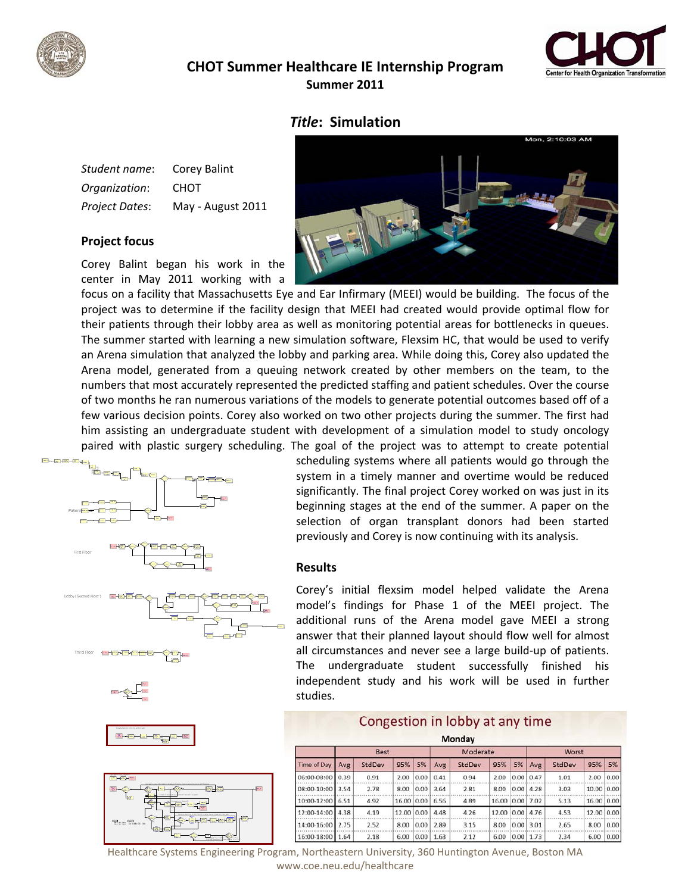

## *Title***: Simulation**

| Student name:         | Corey Balint      |
|-----------------------|-------------------|
| Organization:         | <b>CHOT</b>       |
| <b>Project Dates:</b> | May - August 2011 |

## **Project focus**

Corey Balint began his work in the center in May 2011 working with a



focus on a facility that Massachusetts Eye and Ear Infirmary (MEEI) would be building. The focus of the project was to determine if the facility design that MEEI had created would provide optimal flow for their patients through their lobby area as well as monitoring potential areas for bottlenecks in queues. The summer started with learning a new simulation software, Flexsim HC, that would be used to verify an Arena simulation that analyzed the lobby and parking area. While doing this, Corey also updated the Arena model, generated from a queuing network created by other members on the team, to the numbers that most accurately represented the predicted staffing and patient schedules. Over the course of two months he ran numerous variations of the models to generate potential outcomes based off of a few various decision points. Corey also worked on two other projects during the summer. The first had him assisting an undergraduate student with development of a simulation model to study oncology paired with plastic surgery scheduling. The goal of the project was to attempt to create potential



scheduling systems where all patients would go through the system in a timely manner and overtime would be reduced significantly. The final project Corey worked on was just in its beginning stages at the end of the summer. A paper on the selection of organ transplant donors had been started previously and Corey is now continuing with its analysis.

## **Results**

Corey's initial flexsim model helped validate the Arena model's findings for Phase 1 of the MEEI project. The additional runs of the Arena model gave MEEI a strong answer that their planned layout should flow well for almost all circumstances and never see a large build‐up of patients. The undergraduate student successfully finished his independent study and his work will be used in further studies.

and the company of the company

| Monday             |             |        |       |      |          |        |       |             |       |        |            |      |  |
|--------------------|-------------|--------|-------|------|----------|--------|-------|-------------|-------|--------|------------|------|--|
| <b>Time of Day</b> | <b>Best</b> |        |       |      | Moderate |        |       |             | Worst |        |            |      |  |
|                    | Avg         | StdDev | 95%   | 5%   | Avg      | StdDev | 95%   | 5%          | Avg   | StdDev | 95%        | 5%   |  |
| 06:00-08:00        | 0.39        | 0.91   | 2.00  | 0.00 | 0.41     | 0.94   | 2.00  | 0.00        | 0.47  | 1.01   | 2.00       | 0.00 |  |
| 08:00-10:00        | 3.54        | 2.78   | 8.00  | 0.00 | 3.64     | 2.81   | 8.00  | 0.00        | 4.28  | 3.03   | 10.00      | 0.00 |  |
| 10:00-12:00        | 6.51        | 4.92   | 16.00 | 0.00 | 6.56     | 4.89   | 16.00 | 0.00        | 7.02  | 5.13   | 16.00 0.00 |      |  |
| 12:00-14:00        | 4.38        | 4.19   | 12.00 | 0.00 | 4.48     | 4.26   | 12.00 | 0.00        | 4.76  | 4.53   | 12.00      | 0.00 |  |
| 14:00-16:00        | 2.75        | 2.52   | 8.00  | 0.00 | 2.89     | 3.15   | 8.00  | 0.00        | 3.01  | 2.65   | 8.00       | 0.00 |  |
| 16:00-18:00 1.64   |             | 2.18   | 6.00  | 0.00 | 1.63     | 2.12   | 6.00  | $0.00$ 1.73 |       | 2.34   | 6.00       | 0.00 |  |

Healthcare Systems Engineering Program, Northeastern University, 360 Huntington Avenue, Boston MA www.coe.neu.edu/healthcare